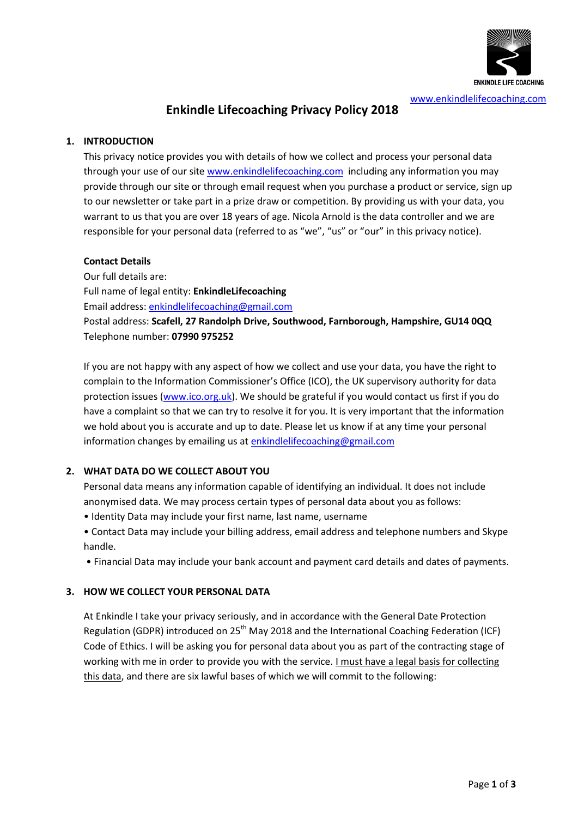

# **Enkindle Lifecoaching Privacy Policy 2018**

#### **1. INTRODUCTION**

This privacy notice provides you with details of how we collect and process your personal data through your use of our site [www.enkindlelifecoaching.com](http://www.enkindlelifecoaching.com/) including any information you may provide through our site or through email request when you purchase a product or service, sign up to our newsletter or take part in a prize draw or competition. By providing us with your data, you warrant to us that you are over 18 years of age. Nicola Arnold is the data controller and we are responsible for your personal data (referred to as "we", "us" or "our" in this privacy notice).

#### **Contact Details**

Our full details are: Full name of legal entity: **EnkindleLifecoaching** Email address: [enkindlelifecoaching@gmail.com](mailto:enkindlelifecoaching@gmail.com) Postal address: **Scafell, 27 Randolph Drive, Southwood, Farnborough, Hampshire, GU14 0QQ** Telephone number: **07990 975252**

If you are not happy with any aspect of how we collect and use your data, you have the right to complain to the Information Commissioner's Office (ICO), the UK supervisory authority for data protection issues [\(www.ico.org.uk\)](http://www.ico.org.uk/). We should be grateful if you would contact us first if you do have a complaint so that we can try to resolve it for you. It is very important that the information we hold about you is accurate and up to date. Please let us know if at any time your personal information changes by emailing us a[t enkindlelifecoaching@gmail.com](mailto:enkindlelifecoaching@gmail.com)

## **2. WHAT DATA DO WE COLLECT ABOUT YOU**

Personal data means any information capable of identifying an individual. It does not include anonymised data. We may process certain types of personal data about you as follows:

- Identity Data may include your first name, last name, username
- Contact Data may include your billing address, email address and telephone numbers and Skype handle.
- Financial Data may include your bank account and payment card details and dates of payments.

## **3. HOW WE COLLECT YOUR PERSONAL DATA**

At Enkindle I take your privacy seriously, and in accordance with the General Date Protection Regulation (GDPR) introduced on 25<sup>th</sup> May 2018 and the International Coaching Federation (ICF) Code of Ethics. I will be asking you for personal data about you as part of the contracting stage of working with me in order to provide you with the service. I must have a legal basis for collecting this data, and there are six lawful bases of which we will commit to the following: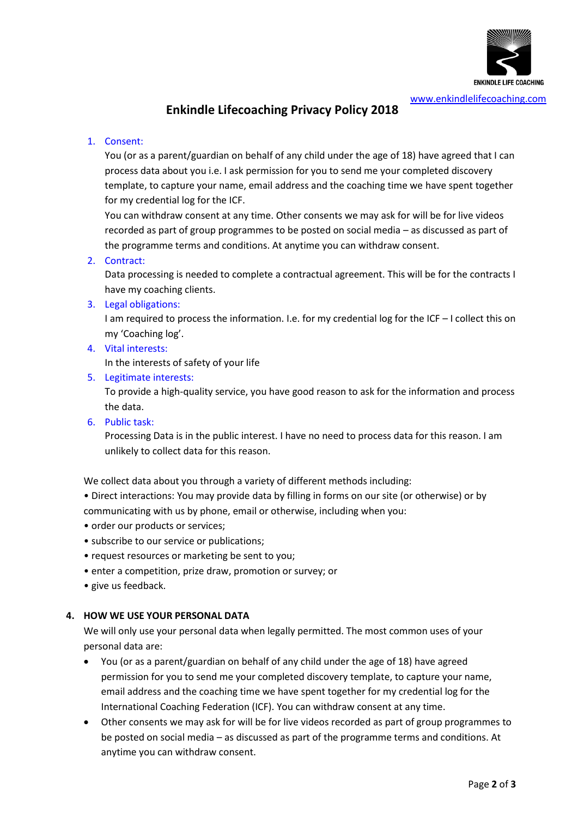

# **Enkindle Lifecoaching Privacy Policy 2018**

## 1. Consent:

You (or as a parent/guardian on behalf of any child under the age of 18) have agreed that I can process data about you i.e. I ask permission for you to send me your completed discovery template, to capture your name, email address and the coaching time we have spent together for my credential log for the ICF.

You can withdraw consent at any time. Other consents we may ask for will be for live videos recorded as part of group programmes to be posted on social media – as discussed as part of the programme terms and conditions. At anytime you can withdraw consent.

## 2. Contract:

Data processing is needed to complete a contractual agreement. This will be for the contracts I have my coaching clients.

3. Legal obligations:

I am required to process the information. I.e. for my credential log for the ICF – I collect this on my 'Coaching log'.

4. Vital interests:

In the interests of safety of your life

5. Legitimate interests:

To provide a high-quality service, you have good reason to ask for the information and process the data.

6. Public task:

Processing Data is in the public interest. I have no need to process data for this reason. I am unlikely to collect data for this reason.

We collect data about you through a variety of different methods including:

• Direct interactions: You may provide data by filling in forms on our site (or otherwise) or by communicating with us by phone, email or otherwise, including when you:

- order our products or services;
- subscribe to our service or publications;
- request resources or marketing be sent to you;
- enter a competition, prize draw, promotion or survey; or
- give us feedback.

## **4. HOW WE USE YOUR PERSONAL DATA**

We will only use your personal data when legally permitted. The most common uses of your personal data are:

- You (or as a parent/guardian on behalf of any child under the age of 18) have agreed permission for you to send me your completed discovery template, to capture your name, email address and the coaching time we have spent together for my credential log for the International Coaching Federation (ICF). You can withdraw consent at any time.
- Other consents we may ask for will be for live videos recorded as part of group programmes to be posted on social media – as discussed as part of the programme terms and conditions. At anytime you can withdraw consent.